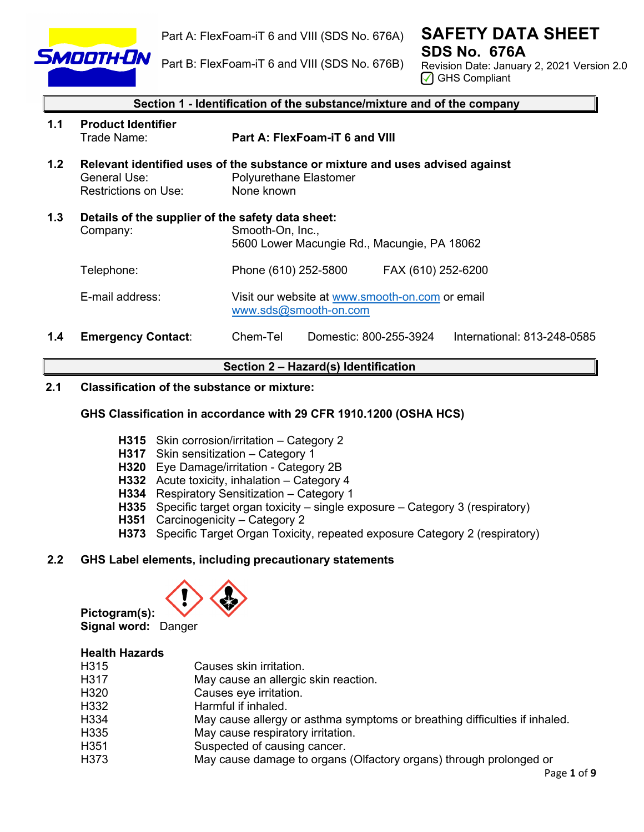

Part A: FlexFoam-iT 6 and VIII (SDS No. 676A)

**SAFETY DATA SHEET SDS No. 676A** 

Part B: FlexFoam-iT 6 and VIII (SDS No. 676B)

Revision Date: January 2, 2021 Version 2.0 ◯ GHS Compliant

|     | Section 1 - Identification of the substance/mixture and of the company |                                                                                                                       |  |  |
|-----|------------------------------------------------------------------------|-----------------------------------------------------------------------------------------------------------------------|--|--|
| 1.1 | <b>Product Identifier</b><br>Trade Name:                               | Part A: FlexFoam-iT 6 and VIII                                                                                        |  |  |
| 1.2 | General Use:<br>Restrictions on Use:                                   | Relevant identified uses of the substance or mixture and uses advised against<br>Polyurethane Elastomer<br>None known |  |  |
| 1.3 | Details of the supplier of the safety data sheet:<br>Company:          | Smooth-On, Inc.,<br>5600 Lower Macungie Rd., Macungie, PA 18062                                                       |  |  |
|     | Telephone:                                                             | FAX (610) 252-6200<br>Phone (610) 252-5800                                                                            |  |  |
|     | E-mail address:                                                        | Visit our website at www.smooth-on.com or email<br>www.sds@smooth-on.com                                              |  |  |
| 1.4 | <b>Emergency Contact:</b>                                              | Chem-Tel<br>Domestic: 800-255-3924<br>International: 813-248-0585                                                     |  |  |

# **Section 2 – Hazard(s) Identification**

# **2.1 Classification of the substance or mixture:**

## **GHS Classification in accordance with 29 CFR 1910.1200 (OSHA HCS)**

- **H315** Skin corrosion/irritation Category 2
- **H317** Skin sensitization Category 1
- **H320** Eye Damage/irritation Category 2B
- **H332** Acute toxicity, inhalation Category 4
- **H334** Respiratory Sensitization Category 1
- **H335** Specific target organ toxicity single exposure Category 3 (respiratory)
- **H351** Carcinogenicity Category 2
- **H373** Specific Target Organ Toxicity, repeated exposure Category 2 (respiratory)

# **2.2 GHS Label elements, including precautionary statements**



**Pictogram(s): Signal word:** Danger

# **Health Hazards**

| H315 | Causes skin irritation.                                                    |
|------|----------------------------------------------------------------------------|
| H317 | May cause an allergic skin reaction.                                       |
| H320 | Causes eye irritation.                                                     |
| H332 | Harmful if inhaled.                                                        |
| H334 | May cause allergy or asthma symptoms or breathing difficulties if inhaled. |
| H335 | May cause respiratory irritation.                                          |
| H351 | Suspected of causing cancer.                                               |
| H373 | May cause damage to organs (Olfactory organs) through prolonged or         |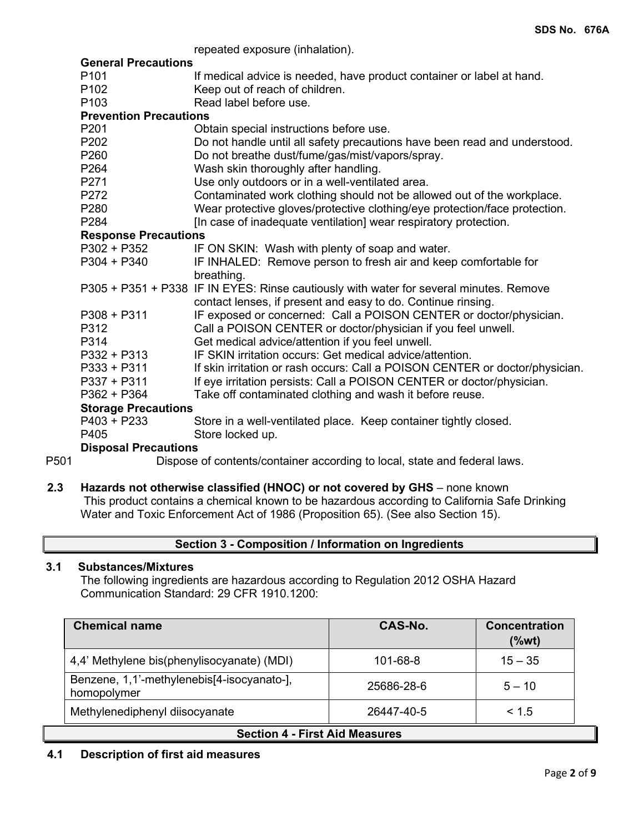repeated exposure (inhalation).

|                  |                               | repeated exposure (inhalation).                                                        |  |  |
|------------------|-------------------------------|----------------------------------------------------------------------------------------|--|--|
|                  | <b>General Precautions</b>    |                                                                                        |  |  |
|                  | P <sub>101</sub>              | If medical advice is needed, have product container or label at hand.                  |  |  |
|                  | P <sub>102</sub>              | Keep out of reach of children.                                                         |  |  |
|                  | P <sub>103</sub>              | Read label before use.                                                                 |  |  |
|                  | <b>Prevention Precautions</b> |                                                                                        |  |  |
|                  | P201                          | Obtain special instructions before use.                                                |  |  |
|                  | P202                          | Do not handle until all safety precautions have been read and understood.              |  |  |
|                  | P <sub>260</sub>              | Do not breathe dust/fume/gas/mist/vapors/spray.                                        |  |  |
|                  | P <sub>264</sub>              | Wash skin thoroughly after handling.                                                   |  |  |
|                  | P271                          | Use only outdoors or in a well-ventilated area.                                        |  |  |
|                  | P272                          | Contaminated work clothing should not be allowed out of the workplace.                 |  |  |
|                  | P280                          | Wear protective gloves/protective clothing/eye protection/face protection.             |  |  |
|                  | P <sub>284</sub>              | [In case of inadequate ventilation] wear respiratory protection.                       |  |  |
|                  | <b>Response Precautions</b>   |                                                                                        |  |  |
|                  | $P302 + P352$                 | IF ON SKIN: Wash with plenty of soap and water.                                        |  |  |
|                  | $P304 + P340$                 | IF INHALED: Remove person to fresh air and keep comfortable for                        |  |  |
|                  |                               | breathing.                                                                             |  |  |
|                  |                               | P305 + P351 + P338 IF IN EYES: Rinse cautiously with water for several minutes. Remove |  |  |
|                  |                               | contact lenses, if present and easy to do. Continue rinsing.                           |  |  |
|                  | $P308 + P311$                 | IF exposed or concerned: Call a POISON CENTER or doctor/physician.                     |  |  |
|                  | P312                          | Call a POISON CENTER or doctor/physician if you feel unwell.                           |  |  |
|                  | P314                          | Get medical advice/attention if you feel unwell.                                       |  |  |
|                  | $P332 + P313$                 | IF SKIN irritation occurs: Get medical advice/attention.                               |  |  |
|                  | $P333 + P311$                 | If skin irritation or rash occurs: Call a POISON CENTER or doctor/physician.           |  |  |
|                  | P337 + P311                   | If eye irritation persists: Call a POISON CENTER or doctor/physician.                  |  |  |
|                  | P362 + P364                   | Take off contaminated clothing and wash it before reuse.                               |  |  |
|                  | <b>Storage Precautions</b>    |                                                                                        |  |  |
|                  | $P403 + P233$                 | Store in a well-ventilated place. Keep container tightly closed.                       |  |  |
|                  | P405                          | Store locked up.                                                                       |  |  |
|                  | <b>Disposal Precautions</b>   |                                                                                        |  |  |
| P <sub>501</sub> |                               | Dispose of contents/container according to local, state and federal laws.              |  |  |

**2.3 Hazards not otherwise classified (HNOC) or not covered by GHS** – none known This product contains a chemical known to be hazardous according to California Safe Drinking Water and Toxic Enforcement Act of 1986 (Proposition 65). (See also Section 15).

# **Section 3 - Composition / Information on Ingredients**

# **3.1 Substances/Mixtures**

The following ingredients are hazardous according to Regulation 2012 OSHA Hazard Communication Standard: 29 CFR 1910.1200:

| <b>Chemical name</b>                                      | CAS-No.    | <b>Concentration</b><br>$(\%wt)$ |  |
|-----------------------------------------------------------|------------|----------------------------------|--|
| 4,4' Methylene bis(phenylisocyanate) (MDI)                | 101-68-8   | $15 - 35$                        |  |
| Benzene, 1,1'-methylenebis[4-isocyanato-],<br>homopolymer | 25686-28-6 | $5 - 10$                         |  |
| Methylenediphenyl diisocyanate                            | 26447-40-5 | < 1.5                            |  |
| <b>Section 4 - First Aid Measures</b>                     |            |                                  |  |

**4.1 Description of first aid measures**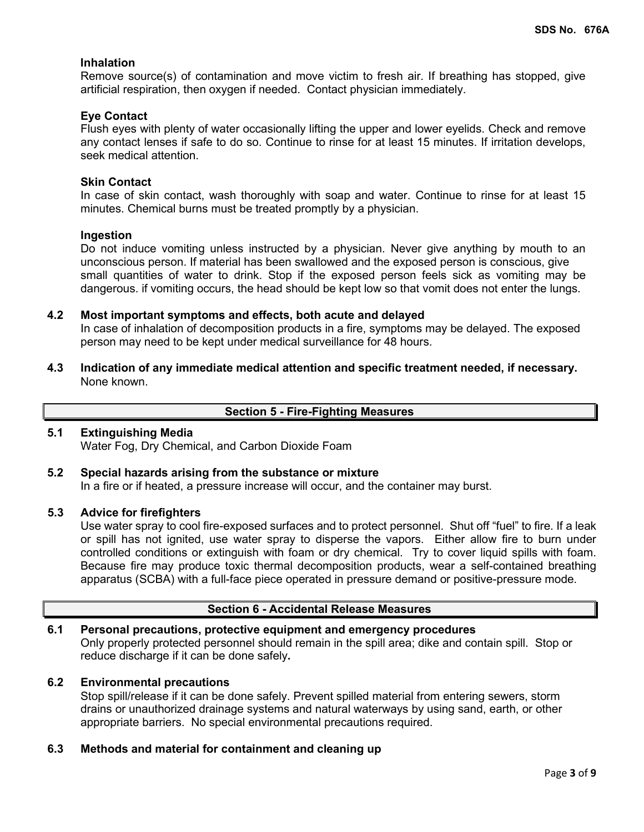## **Inhalation**

Remove source(s) of contamination and move victim to fresh air. If breathing has stopped, give artificial respiration, then oxygen if needed. Contact physician immediately.

# **Eye Contact**

Flush eyes with plenty of water occasionally lifting the upper and lower eyelids. Check and remove any contact lenses if safe to do so. Continue to rinse for at least 15 minutes. If irritation develops, seek medical attention.

## **Skin Contact**

In case of skin contact, wash thoroughly with soap and water. Continue to rinse for at least 15 minutes. Chemical burns must be treated promptly by a physician.

## **Ingestion**

Do not induce vomiting unless instructed by a physician. Never give anything by mouth to an unconscious person. If material has been swallowed and the exposed person is conscious, give small quantities of water to drink. Stop if the exposed person feels sick as vomiting may be dangerous. if vomiting occurs, the head should be kept low so that vomit does not enter the lungs.

#### **4.2 Most important symptoms and effects, both acute and delayed**

In case of inhalation of decomposition products in a fire, symptoms may be delayed. The exposed person may need to be kept under medical surveillance for 48 hours.

**4.3 Indication of any immediate medical attention and specific treatment needed, if necessary.** None known.

## **Section 5 - Fire-Fighting Measures**

## **5.1 Extinguishing Media**

Water Fog, Dry Chemical, and Carbon Dioxide Foam

## **5.2 Special hazards arising from the substance or mixture**

In a fire or if heated, a pressure increase will occur, and the container may burst.

#### **5.3 Advice for firefighters**

Use water spray to cool fire-exposed surfaces and to protect personnel. Shut off "fuel" to fire. If a leak or spill has not ignited, use water spray to disperse the vapors. Either allow fire to burn under controlled conditions or extinguish with foam or dry chemical. Try to cover liquid spills with foam. Because fire may produce toxic thermal decomposition products, wear a self-contained breathing apparatus (SCBA) with a full-face piece operated in pressure demand or positive-pressure mode.

## **Section 6 - Accidental Release Measures**

# **6.1 Personal precautions, protective equipment and emergency procedures** Only properly protected personnel should remain in the spill area; dike and contain spill. Stop or reduce discharge if it can be done safely**.**

#### **6.2 Environmental precautions**

Stop spill/release if it can be done safely. Prevent spilled material from entering sewers, storm drains or unauthorized drainage systems and natural waterways by using sand, earth, or other appropriate barriers.No special environmental precautions required.

## **6.3 Methods and material for containment and cleaning up**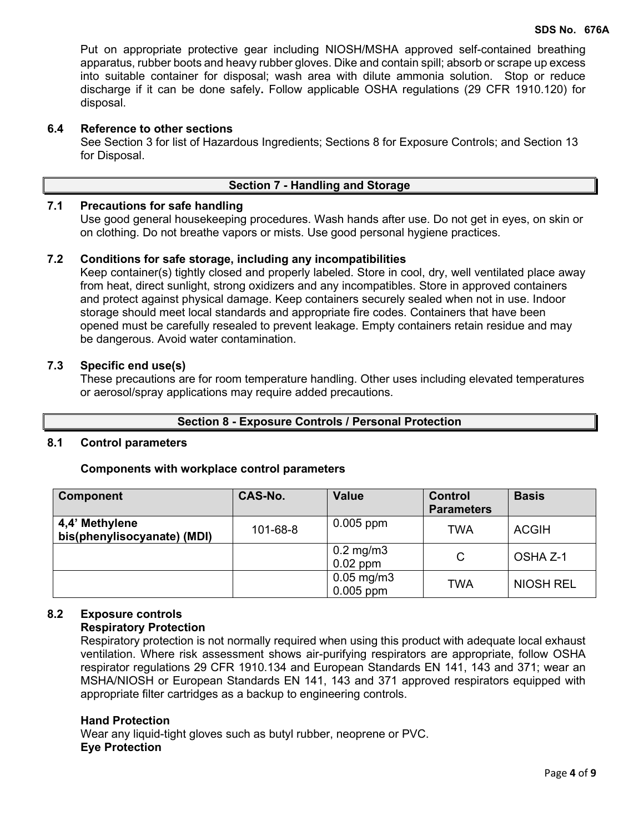Put on appropriate protective gear including NIOSH/MSHA approved self-contained breathing apparatus, rubber boots and heavy rubber gloves. Dike and contain spill; absorb or scrape up excess into suitable container for disposal; wash area with dilute ammonia solution. Stop or reduce discharge if it can be done safely**.** Follow applicable OSHA regulations (29 CFR 1910.120) for disposal.

#### **6.4 Reference to other sections**

See Section 3 for list of Hazardous Ingredients; Sections 8 for Exposure Controls; and Section 13 for Disposal.

# **Section 7 - Handling and Storage**

# **7.1 Precautions for safe handling**

Use good general housekeeping procedures. Wash hands after use. Do not get in eyes, on skin or on clothing. Do not breathe vapors or mists. Use good personal hygiene practices.

#### **7.2 Conditions for safe storage, including any incompatibilities**

Keep container(s) tightly closed and properly labeled. Store in cool, dry, well ventilated place away from heat, direct sunlight, strong oxidizers and any incompatibles. Store in approved containers and protect against physical damage. Keep containers securely sealed when not in use. Indoor storage should meet local standards and appropriate fire codes. Containers that have been opened must be carefully resealed to prevent leakage. Empty containers retain residue and may be dangerous. Avoid water contamination.

## **7.3 Specific end use(s)**

These precautions are for room temperature handling. Other uses including elevated temperatures or aerosol/spray applications may require added precautions.

#### **Section 8 - Exposure Controls / Personal Protection**

#### **8.1 Control parameters**

#### **Components with workplace control parameters**

| <b>Component</b>                              | CAS-No.  | <b>Value</b>                   | <b>Control</b><br><b>Parameters</b> | <b>Basis</b>     |
|-----------------------------------------------|----------|--------------------------------|-------------------------------------|------------------|
| 4,4' Methylene<br>bis(phenylisocyanate) (MDI) | 101-68-8 | $0.005$ ppm                    | <b>TWA</b>                          | <b>ACGIH</b>     |
|                                               |          | $0.2$ mg/m $3$<br>$0.02$ ppm   | C                                   | OSHA Z-1         |
|                                               |          | $0.05$ mg/m $3$<br>$0.005$ ppm | TWA                                 | <b>NIOSH REL</b> |

## **8.2 Exposure controls**

## **Respiratory Protection**

Respiratory protection is not normally required when using this product with adequate local exhaust ventilation. Where risk assessment shows air-purifying respirators are appropriate, follow OSHA respirator regulations 29 CFR 1910.134 and European Standards EN 141, 143 and 371; wear an MSHA/NIOSH or European Standards EN 141, 143 and 371 approved respirators equipped with appropriate filter cartridges as a backup to engineering controls.

#### **Hand Protection**

Wear any liquid-tight gloves such as butyl rubber, neoprene or PVC. **Eye Protection**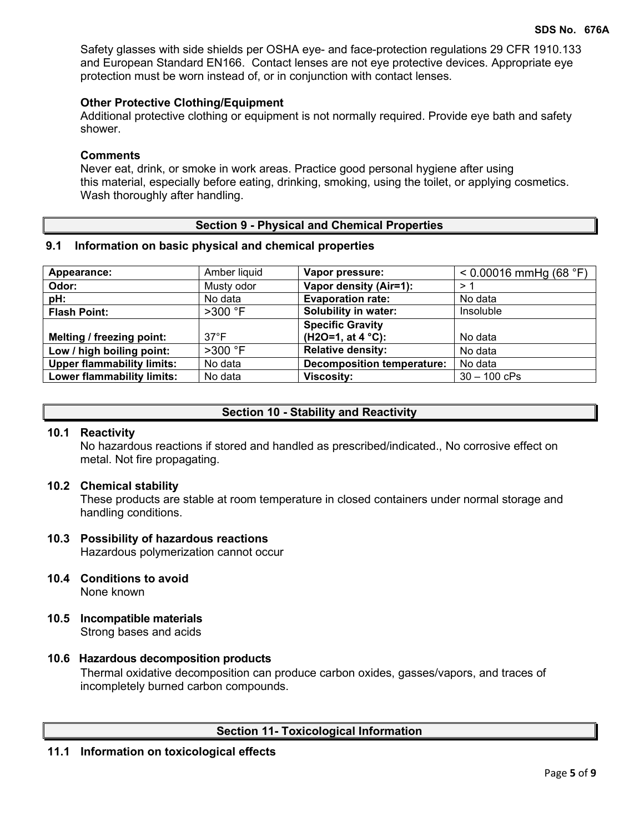Safety glasses with side shields per OSHA eye- and face-protection regulations 29 CFR 1910.133 and European Standard EN166. Contact lenses are not eye protective devices. Appropriate eye protection must be worn instead of, or in conjunction with contact lenses.

#### **Other Protective Clothing/Equipment**

Additional protective clothing or equipment is not normally required. Provide eye bath and safety shower.

#### **Comments**

Never eat, drink, or smoke in work areas. Practice good personal hygiene after using this material, especially before eating, drinking, smoking, using the toilet, or applying cosmetics. Wash thoroughly after handling.

## **Section 9 - Physical and Chemical Properties**

#### **9.1 Information on basic physical and chemical properties**

| Appearance:                       | Amber liquid   | Vapor pressure:                   | $< 0.00016$ mmHg (68 °F) |
|-----------------------------------|----------------|-----------------------------------|--------------------------|
| Odor:                             | Musty odor     | Vapor density (Air=1):            | > 1                      |
| pH:                               | No data        | <b>Evaporation rate:</b>          | No data                  |
| <b>Flash Point:</b>               | $>300$ °F      | Solubility in water:              | Insoluble                |
|                                   |                | <b>Specific Gravity</b>           |                          |
| Melting / freezing point:         | $37^{\circ}$ F | (H2O=1, at $4^{\circ}$ C):        | No data                  |
| Low / high boiling point:         | $>300$ °F      | <b>Relative density:</b>          | No data                  |
| <b>Upper flammability limits:</b> | No data        | <b>Decomposition temperature:</b> | No data                  |
| Lower flammability limits:        | No data        | <b>Viscosity:</b>                 | $30 - 100$ cPs           |

## **Section 10 - Stability and Reactivity**

## **10.1 Reactivity**

No hazardous reactions if stored and handled as prescribed/indicated., No corrosive effect on metal. Not fire propagating.

#### **10.2 Chemical stability**

These products are stable at room temperature in closed containers under normal storage and handling conditions.

#### **10.3 Possibility of hazardous reactions**

Hazardous polymerization cannot occur

## **10.4 Conditions to avoid**

None known

**10.5 Incompatible materials** Strong bases and acids

#### **10.6 Hazardous decomposition products**

Thermal oxidative decomposition can produce carbon oxides, gasses/vapors, and traces of incompletely burned carbon compounds.

## **Section 11- Toxicological Information**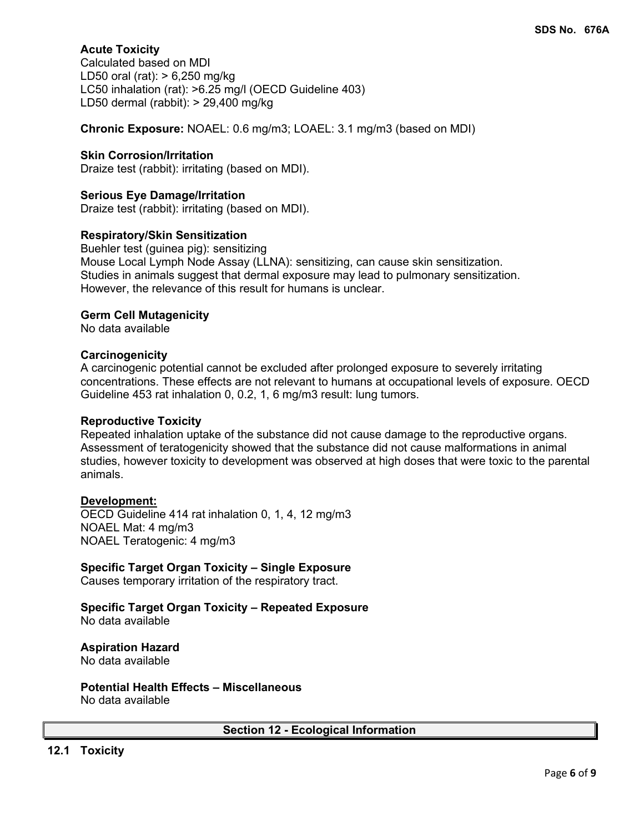# **Acute Toxicity**

Calculated based on MDI LD50 oral (rat): > 6,250 mg/kg LC50 inhalation (rat): >6.25 mg/l (OECD Guideline 403) LD50 dermal (rabbit): > 29,400 mg/kg

**Chronic Exposure:** NOAEL: 0.6 mg/m3; LOAEL: 3.1 mg/m3 (based on MDI)

#### **Skin Corrosion/Irritation**

Draize test (rabbit): irritating (based on MDI).

## **Serious Eye Damage/Irritation**

Draize test (rabbit): irritating (based on MDI).

#### **Respiratory/Skin Sensitization**

Buehler test (guinea pig): sensitizing Mouse Local Lymph Node Assay (LLNA): sensitizing, can cause skin sensitization. Studies in animals suggest that dermal exposure may lead to pulmonary sensitization. However, the relevance of this result for humans is unclear.

#### **Germ Cell Mutagenicity**

No data available

#### **Carcinogenicity**

A carcinogenic potential cannot be excluded after prolonged exposure to severely irritating concentrations. These effects are not relevant to humans at occupational levels of exposure. OECD Guideline 453 rat inhalation 0, 0.2, 1, 6 mg/m3 result: lung tumors.

#### **Reproductive Toxicity**

Repeated inhalation uptake of the substance did not cause damage to the reproductive organs. Assessment of teratogenicity showed that the substance did not cause malformations in animal studies, however toxicity to development was observed at high doses that were toxic to the parental animals.

## **Development:**

OECD Guideline 414 rat inhalation 0, 1, 4, 12 mg/m3 NOAEL Mat: 4 mg/m3 NOAEL Teratogenic: 4 mg/m3

## **Specific Target Organ Toxicity – Single Exposure**

Causes temporary irritation of the respiratory tract.

#### **Specific Target Organ Toxicity – Repeated Exposure** No data available

# **Aspiration Hazard**

No data available

**Potential Health Effects – Miscellaneous** No data available

## **Section 12 - Ecological Information**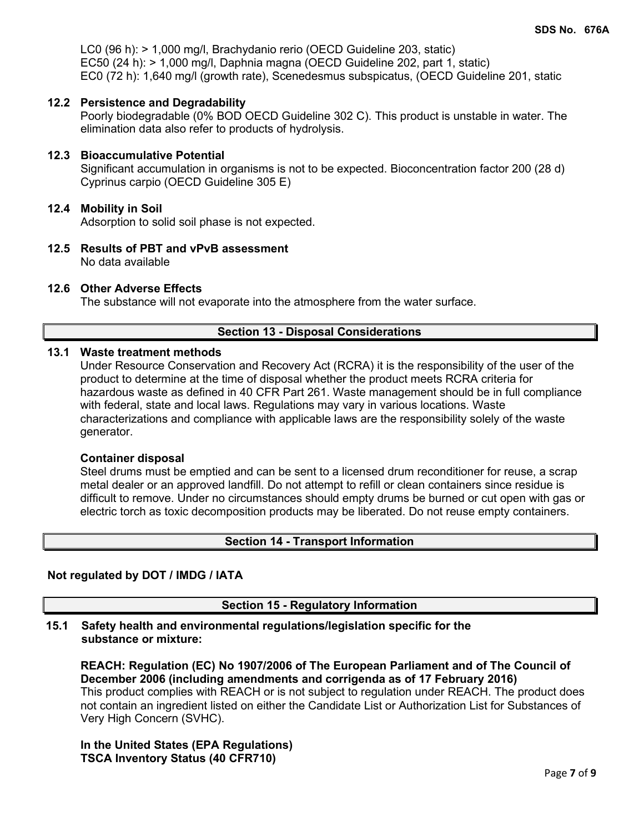LC0 (96 h): > 1,000 mg/l, Brachydanio rerio (OECD Guideline 203, static) EC50 (24 h): > 1,000 mg/l, Daphnia magna (OECD Guideline 202, part 1, static) EC0 (72 h): 1,640 mg/l (growth rate), Scenedesmus subspicatus, (OECD Guideline 201, static

## **12.2 Persistence and Degradability**

Poorly biodegradable (0% BOD OECD Guideline 302 C). This product is unstable in water. The elimination data also refer to products of hydrolysis.

## **12.3 Bioaccumulative Potential**

Significant accumulation in organisms is not to be expected. Bioconcentration factor 200 (28 d) Cyprinus carpio (OECD Guideline 305 E)

## **12.4 Mobility in Soil**

Adsorption to solid soil phase is not expected.

**12.5 Results of PBT and vPvB assessment** No data available

## **12.6 Other Adverse Effects**

The substance will not evaporate into the atmosphere from the water surface.

## **Section 13 - Disposal Considerations**

#### **13.1 Waste treatment methods**

Under Resource Conservation and Recovery Act (RCRA) it is the responsibility of the user of the product to determine at the time of disposal whether the product meets RCRA criteria for hazardous waste as defined in 40 CFR Part 261. Waste management should be in full compliance with federal, state and local laws. Regulations may vary in various locations. Waste characterizations and compliance with applicable laws are the responsibility solely of the waste generator.

## **Container disposal**

Steel drums must be emptied and can be sent to a licensed drum reconditioner for reuse, a scrap metal dealer or an approved landfill. Do not attempt to refill or clean containers since residue is difficult to remove. Under no circumstances should empty drums be burned or cut open with gas or electric torch as toxic decomposition products may be liberated. Do not reuse empty containers.

## **Section 14 - Transport Information**

## **Not regulated by DOT / IMDG / IATA**

**Section 15 - Regulatory Information**

## **15.1 Safety health and environmental regulations/legislation specific for the substance or mixture:**

**REACH: Regulation (EC) No 1907/2006 of The European Parliament and of The Council of December 2006 (including amendments and corrigenda as of 17 February 2016)** This product complies with REACH or is not subject to regulation under REACH. The product does not contain an ingredient listed on either the Candidate List or Authorization List for Substances of Very High Concern (SVHC).

**In the United States (EPA Regulations) TSCA Inventory Status (40 CFR710)**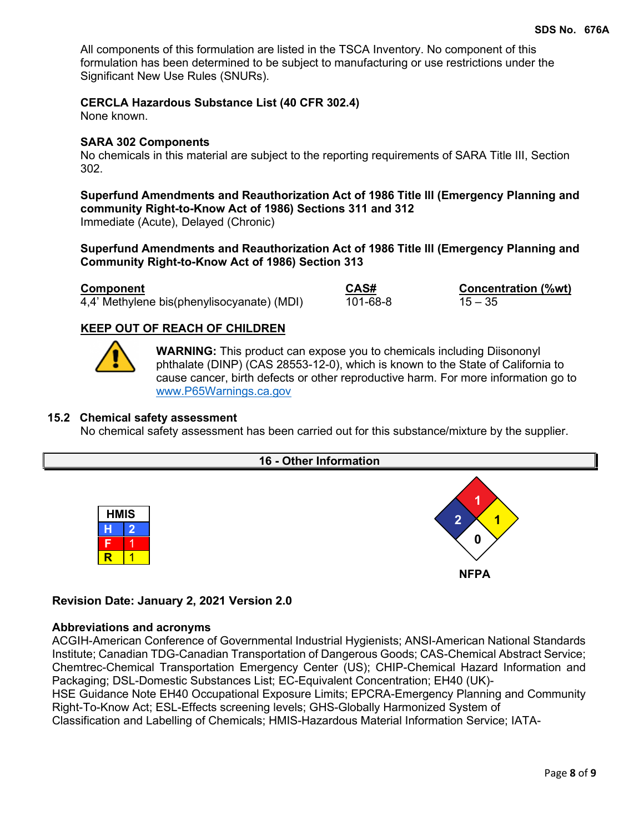All components of this formulation are listed in the TSCA Inventory. No component of this formulation has been determined to be subject to manufacturing or use restrictions under the Significant New Use Rules (SNURs).

## **CERCLA Hazardous Substance List (40 CFR 302.4)**

None known.

#### **SARA 302 Components**

No chemicals in this material are subject to the reporting requirements of SARA Title III, Section 302.

# **Superfund Amendments and Reauthorization Act of 1986 Title lll (Emergency Planning and community Right-to-Know Act of 1986) Sections 311 and 312**

Immediate (Acute), Delayed (Chronic)

# **Superfund Amendments and Reauthorization Act of 1986 Title lll (Emergency Planning and Community Right-to-Know Act of 1986) Section 313**

**Component**<br>
4.4' Methylene bis(phenylisocyanate) (MDI)  $\overline{60}$ <br>  $\overline{101}$ -68-8<br>
15 – 35  $\overline{4,4'}$  Methylene bis(phenylisocyanate) (MDI)

**NFPA**

# **KEEP OUT OF REACH OF CHILDREN**



**WARNING:** This product can expose you to chemicals including Diisononyl phthalate (DINP) (CAS 28553-12-0), which is known to the State of California to cause cancer, birth defects or other reproductive harm. For more information go to [www.P65Warnings.ca.gov](http://www.p65warnings.ca.gov/) 

#### **15.2 Chemical safety assessment**

No chemical safety assessment has been carried out for this substance/mixture by the supplier.



# **Revision Date: January 2, 2021 Version 2.0**

## **Abbreviations and acronyms**

ACGIH-American Conference of Governmental Industrial Hygienists; ANSI-American National Standards Institute; Canadian TDG-Canadian Transportation of Dangerous Goods; CAS-Chemical Abstract Service; Chemtrec-Chemical Transportation Emergency Center (US); CHIP-Chemical Hazard Information and Packaging; DSL-Domestic Substances List; EC-Equivalent Concentration; EH40 (UK)-

HSE Guidance Note EH40 Occupational Exposure Limits; EPCRA-Emergency Planning and Community Right-To-Know Act; ESL-Effects screening levels; GHS-Globally Harmonized System of

Classification and Labelling of Chemicals; HMIS-Hazardous Material Information Service; IATA-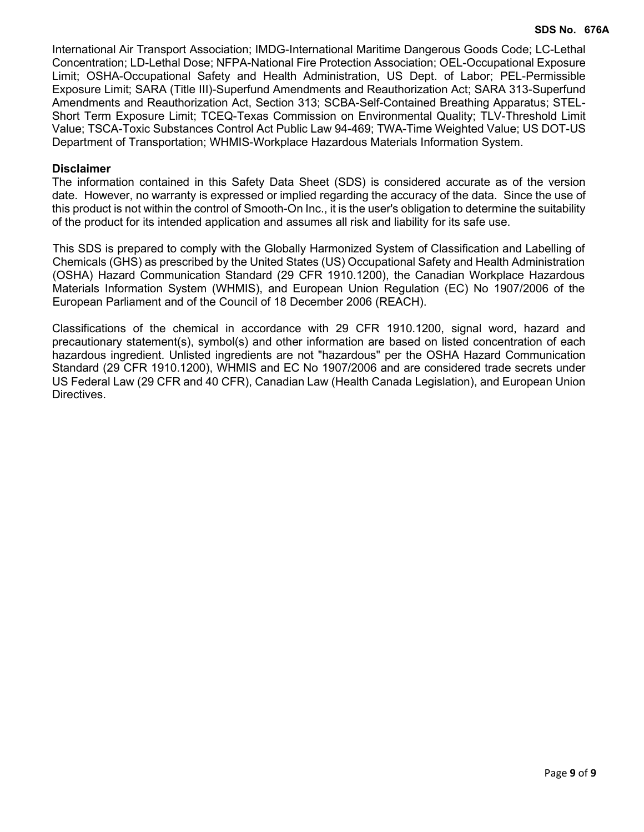International Air Transport Association; IMDG-International Maritime Dangerous Goods Code; LC-Lethal Concentration; LD-Lethal Dose; NFPA-National Fire Protection Association; OEL-Occupational Exposure Limit; OSHA-Occupational Safety and Health Administration, US Dept. of Labor; PEL-Permissible Exposure Limit; SARA (Title III)-Superfund Amendments and Reauthorization Act; SARA 313-Superfund Amendments and Reauthorization Act, Section 313; SCBA-Self-Contained Breathing Apparatus; STEL-Short Term Exposure Limit; TCEQ-Texas Commission on Environmental Quality; TLV-Threshold Limit Value; TSCA-Toxic Substances Control Act Public Law 94-469; TWA-Time Weighted Value; US DOT-US Department of Transportation; WHMIS-Workplace Hazardous Materials Information System.

# **Disclaimer**

The information contained in this Safety Data Sheet (SDS) is considered accurate as of the version date. However, no warranty is expressed or implied regarding the accuracy of the data. Since the use of this product is not within the control of Smooth-On Inc., it is the user's obligation to determine the suitability of the product for its intended application and assumes all risk and liability for its safe use.

This SDS is prepared to comply with the Globally Harmonized System of Classification and Labelling of Chemicals (GHS) as prescribed by the United States (US) Occupational Safety and Health Administration (OSHA) Hazard Communication Standard (29 CFR 1910.1200), the Canadian Workplace Hazardous Materials Information System (WHMIS), and European Union Regulation (EC) No 1907/2006 of the European Parliament and of the Council of 18 December 2006 (REACH).

Classifications of the chemical in accordance with 29 CFR 1910.1200, signal word, hazard and precautionary statement(s), symbol(s) and other information are based on listed concentration of each hazardous ingredient. Unlisted ingredients are not "hazardous" per the OSHA Hazard Communication Standard (29 CFR 1910.1200), WHMIS and EC No 1907/2006 and are considered trade secrets under US Federal Law (29 CFR and 40 CFR), Canadian Law (Health Canada Legislation), and European Union Directives.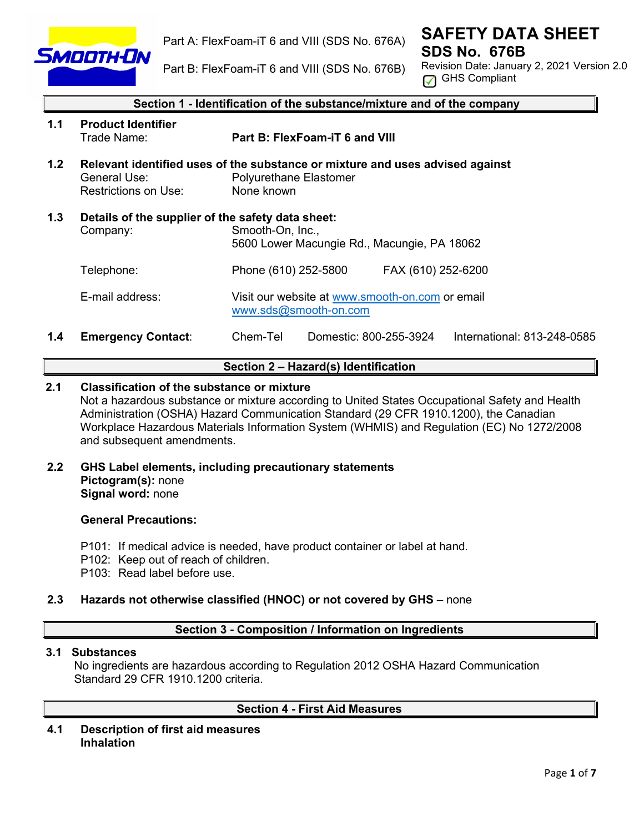

Part A: FlexFoam-iT 6 and VIII (SDS No. 676A)

Part B: FlexFoam-iT 6 and VIII (SDS No. 676B)

**SAFETY DATA SHEET SDS No. 676B** 

Revision Date: January 2, 2021 Version 2.0 GHS Compliant

|     | Section 1 - Identification of the substance/mixture and of the company                                                           |                                                                                                                       |  |  |
|-----|----------------------------------------------------------------------------------------------------------------------------------|-----------------------------------------------------------------------------------------------------------------------|--|--|
| 1.1 | <b>Product Identifier</b><br>Trade Name:                                                                                         | Part B: FlexFoam-iT 6 and VIII                                                                                        |  |  |
| 1.2 | General Use:<br>Restrictions on Use:                                                                                             | Relevant identified uses of the substance or mixture and uses advised against<br>Polyurethane Elastomer<br>None known |  |  |
| 1.3 | Details of the supplier of the safety data sheet:<br>Smooth-On, Inc.,<br>Company:<br>5600 Lower Macungie Rd., Macungie, PA 18062 |                                                                                                                       |  |  |
|     | Telephone:                                                                                                                       | Phone (610) 252-5800<br>FAX (610) 252-6200                                                                            |  |  |
|     | E-mail address:                                                                                                                  | Visit our website at www.smooth-on.com or email<br>www.sds@smooth-on.com                                              |  |  |

**1.4 Emergency Contact**: Chem-Tel Domestic: 800-255-3924 International: 813-248-0585

# **Section 2 – Hazard(s) Identification**

# **2.1 Classification of the substance or mixture**

Not a hazardous substance or mixture according to United States Occupational Safety and Health Administration (OSHA) Hazard Communication Standard (29 CFR 1910.1200), the Canadian Workplace Hazardous Materials Information System (WHMIS) and Regulation (EC) No 1272/2008 and subsequent amendments.

**2.2 GHS Label elements, including precautionary statements Pictogram(s):** none **Signal word:** none

## **General Precautions:**

- P101: If medical advice is needed, have product container or label at hand.
- P102: Keep out of reach of children.
- P103: Read label before use.

## **2.3 Hazards not otherwise classified (HNOC) or not covered by GHS** – none

## **Section 3 - Composition / Information on Ingredients**

## **3.1 Substances**

 No ingredients are hazardous according to Regulation 2012 OSHA Hazard Communication Standard 29 CFR 1910.1200 criteria.

## **Section 4 - First Aid Measures**

**4.1 Description of first aid measures Inhalation**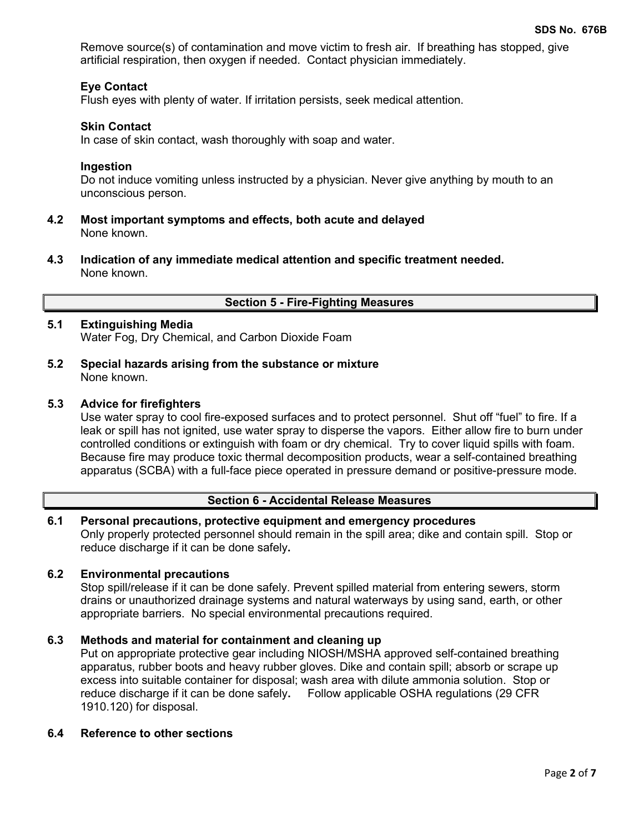Remove source(s) of contamination and move victim to fresh air. If breathing has stopped, give artificial respiration, then oxygen if needed. Contact physician immediately.

# **Eye Contact**

Flush eyes with plenty of water. If irritation persists, seek medical attention.

#### **Skin Contact**

In case of skin contact, wash thoroughly with soap and water.

#### **Ingestion**

Do not induce vomiting unless instructed by a physician. Never give anything by mouth to an unconscious person.

- **4.2 Most important symptoms and effects, both acute and delayed** None known.
- **4.3 Indication of any immediate medical attention and specific treatment needed.** None known.

## **Section 5 - Fire-Fighting Measures**

# **5.1 Extinguishing Media**

Water Fog, Dry Chemical, and Carbon Dioxide Foam

**5.2 Special hazards arising from the substance or mixture** None known.

#### **5.3 Advice for firefighters**

Use water spray to cool fire-exposed surfaces and to protect personnel. Shut off "fuel" to fire. If a leak or spill has not ignited, use water spray to disperse the vapors. Either allow fire to burn under controlled conditions or extinguish with foam or dry chemical. Try to cover liquid spills with foam. Because fire may produce toxic thermal decomposition products, wear a self-contained breathing apparatus (SCBA) with a full-face piece operated in pressure demand or positive-pressure mode.

## **Section 6 - Accidental Release Measures**

## **6.1 Personal precautions, protective equipment and emergency procedures** Only properly protected personnel should remain in the spill area; dike and contain spill. Stop or reduce discharge if it can be done safely**.**

#### **6.2 Environmental precautions**

Stop spill/release if it can be done safely. Prevent spilled material from entering sewers, storm drains or unauthorized drainage systems and natural waterways by using sand, earth, or other appropriate barriers.No special environmental precautions required.

#### **6.3 Methods and material for containment and cleaning up**

Put on appropriate protective gear including NIOSH/MSHA approved self-contained breathing apparatus, rubber boots and heavy rubber gloves. Dike and contain spill; absorb or scrape up excess into suitable container for disposal; wash area with dilute ammonia solution. Stop or reduce discharge if it can be done safely**.** Follow applicable OSHA regulations (29 CFR 1910.120) for disposal.

#### **6.4 Reference to other sections**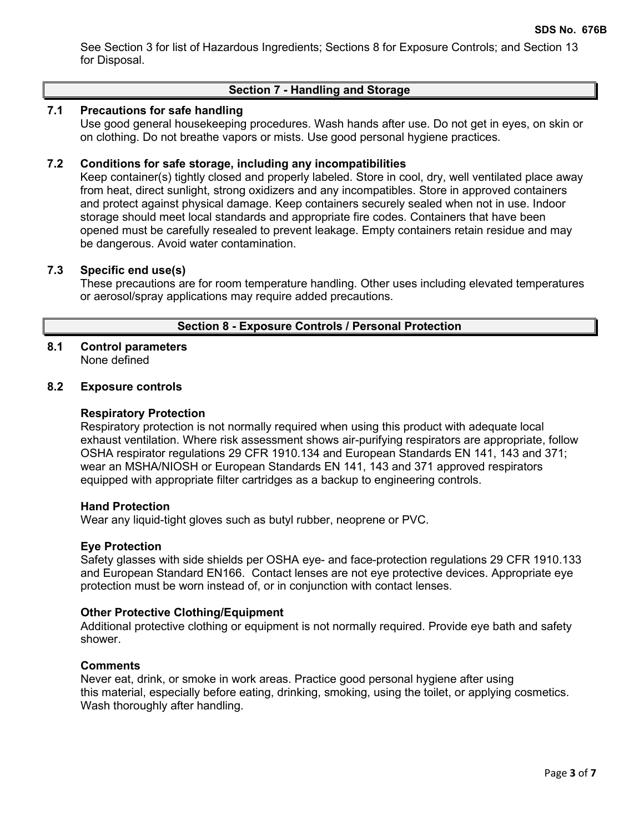See Section 3 for list of Hazardous Ingredients; Sections 8 for Exposure Controls; and Section 13 for Disposal.

# **Section 7 - Handling and Storage**

## **7.1 Precautions for safe handling**

Use good general housekeeping procedures. Wash hands after use. Do not get in eyes, on skin or on clothing. Do not breathe vapors or mists. Use good personal hygiene practices.

#### **7.2 Conditions for safe storage, including any incompatibilities**

Keep container(s) tightly closed and properly labeled. Store in cool, dry, well ventilated place away from heat, direct sunlight, strong oxidizers and any incompatibles. Store in approved containers and protect against physical damage. Keep containers securely sealed when not in use. Indoor storage should meet local standards and appropriate fire codes. Containers that have been opened must be carefully resealed to prevent leakage. Empty containers retain residue and may be dangerous. Avoid water contamination.

#### **7.3 Specific end use(s)**

These precautions are for room temperature handling. Other uses including elevated temperatures or aerosol/spray applications may require added precautions.

#### **Section 8 - Exposure Controls / Personal Protection**

# **8.1 Control parameters**

None defined

# **8.2 Exposure controls**

#### **Respiratory Protection**

Respiratory protection is not normally required when using this product with adequate local exhaust ventilation. Where risk assessment shows air-purifying respirators are appropriate, follow OSHA respirator regulations 29 CFR 1910.134 and European Standards EN 141, 143 and 371; wear an MSHA/NIOSH or European Standards EN 141, 143 and 371 approved respirators equipped with appropriate filter cartridges as a backup to engineering controls.

#### **Hand Protection**

Wear any liquid-tight gloves such as butyl rubber, neoprene or PVC.

#### **Eye Protection**

Safety glasses with side shields per OSHA eye- and face-protection regulations 29 CFR 1910.133 and European Standard EN166. Contact lenses are not eye protective devices. Appropriate eye protection must be worn instead of, or in conjunction with contact lenses.

#### **Other Protective Clothing/Equipment**

Additional protective clothing or equipment is not normally required. Provide eye bath and safety shower.

#### **Comments**

Never eat, drink, or smoke in work areas. Practice good personal hygiene after using this material, especially before eating, drinking, smoking, using the toilet, or applying cosmetics. Wash thoroughly after handling.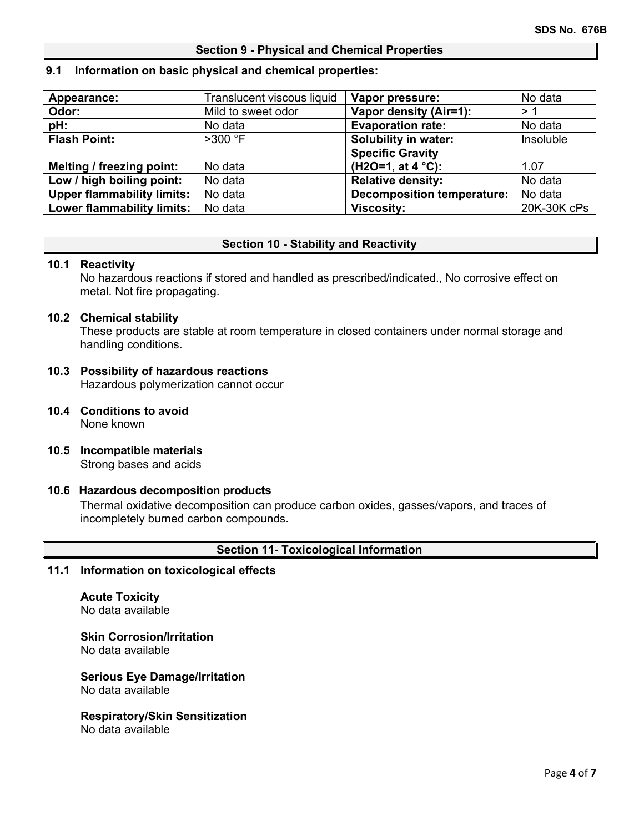#### **Section 9 - Physical and Chemical Properties**

#### **9.1 Information on basic physical and chemical properties:**

| Appearance:                       | Translucent viscous liquid | Vapor pressure:                   | No data     |
|-----------------------------------|----------------------------|-----------------------------------|-------------|
| Odor:                             | Mild to sweet odor         | Vapor density (Air=1):            | >1          |
| pH:                               | No data                    | <b>Evaporation rate:</b>          | No data     |
| <b>Flash Point:</b>               | $>300$ °F                  | <b>Solubility in water:</b>       | Insoluble   |
|                                   |                            | <b>Specific Gravity</b>           |             |
| Melting / freezing point:         | No data                    | $(H2O=1, at 4 °C)$ :              | 1.07        |
| Low / high boiling point:         | No data                    | <b>Relative density:</b>          | No data     |
| <b>Upper flammability limits:</b> | No data                    | <b>Decomposition temperature:</b> | No data     |
| <b>Lower flammability limits:</b> | No data                    | <b>Viscosity:</b>                 | 20K-30K cPs |

#### **Section 10 - Stability and Reactivity**

#### **10.1 Reactivity**

No hazardous reactions if stored and handled as prescribed/indicated., No corrosive effect on metal. Not fire propagating.

#### **10.2 Chemical stability**

These products are stable at room temperature in closed containers under normal storage and handling conditions.

# **10.3 Possibility of hazardous reactions**

Hazardous polymerization cannot occur

- **10.4 Conditions to avoid** None known
- **10.5 Incompatible materials** Strong bases and acids

#### **10.6 Hazardous decomposition products**

Thermal oxidative decomposition can produce carbon oxides, gasses/vapors, and traces of incompletely burned carbon compounds.

#### **Section 11- Toxicological Information**

# **11.1 Information on toxicological effects**

#### **Acute Toxicity** No data available

**Skin Corrosion/Irritation** No data available

#### **Serious Eye Damage/Irritation** No data available

#### **Respiratory/Skin Sensitization** No data available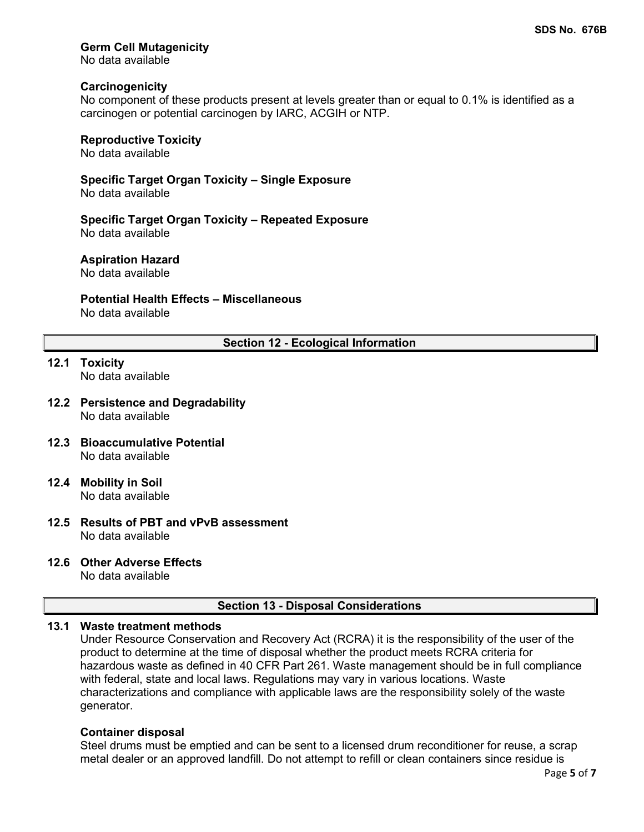# **Germ Cell Mutagenicity**

No data available

## **Carcinogenicity**

No component of these products present at levels greater than or equal to 0.1% is identified as a carcinogen or potential carcinogen by IARC, ACGIH or NTP.

# **Reproductive Toxicity**

No data available

**Specific Target Organ Toxicity – Single Exposure** No data available

**Specific Target Organ Toxicity – Repeated Exposure** No data available

#### **Aspiration Hazard**

No data available

# **Potential Health Effects – Miscellaneous**

No data available

## **Section 12 - Ecological Information**

- **12.1 Toxicity** No data available
- **12.2 Persistence and Degradability** No data available
- **12.3 Bioaccumulative Potential** No data available
- **12.4 Mobility in Soil** No data available
- **12.5 Results of PBT and vPvB assessment** No data available

## **12.6 Other Adverse Effects**

No data available

## **Section 13 - Disposal Considerations**

# **13.1 Waste treatment methods**

Under Resource Conservation and Recovery Act (RCRA) it is the responsibility of the user of the product to determine at the time of disposal whether the product meets RCRA criteria for hazardous waste as defined in 40 CFR Part 261. Waste management should be in full compliance with federal, state and local laws. Regulations may vary in various locations. Waste characterizations and compliance with applicable laws are the responsibility solely of the waste generator.

#### **Container disposal**

Steel drums must be emptied and can be sent to a licensed drum reconditioner for reuse, a scrap metal dealer or an approved landfill. Do not attempt to refill or clean containers since residue is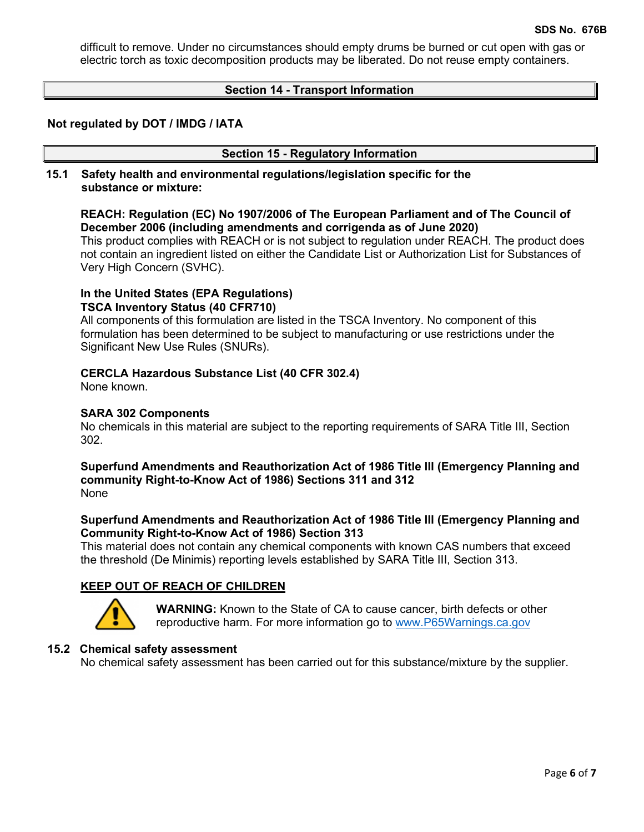difficult to remove. Under no circumstances should empty drums be burned or cut open with gas or electric torch as toxic decomposition products may be liberated. Do not reuse empty containers.

## **Section 14 - Transport Information**

## **Not regulated by DOT / IMDG / IATA**

#### **Section 15 - Regulatory Information**

**15.1 Safety health and environmental regulations/legislation specific for the substance or mixture:**

## **REACH: Regulation (EC) No 1907/2006 of The European Parliament and of The Council of December 2006 (including amendments and corrigenda as of June 2020)**

This product complies with REACH or is not subject to regulation under REACH. The product does not contain an ingredient listed on either the Candidate List or Authorization List for Substances of Very High Concern (SVHC).

# **In the United States (EPA Regulations)**

# **TSCA Inventory Status (40 CFR710)**

All components of this formulation are listed in the TSCA Inventory. No component of this formulation has been determined to be subject to manufacturing or use restrictions under the Significant New Use Rules (SNURs).

## **CERCLA Hazardous Substance List (40 CFR 302.4)**

None known.

## **SARA 302 Components**

No chemicals in this material are subject to the reporting requirements of SARA Title III, Section 302.

#### **Superfund Amendments and Reauthorization Act of 1986 Title lll (Emergency Planning and community Right-to-Know Act of 1986) Sections 311 and 312** None

## **Superfund Amendments and Reauthorization Act of 1986 Title lll (Emergency Planning and Community Right-to-Know Act of 1986) Section 313**

This material does not contain any chemical components with known CAS numbers that exceed the threshold (De Minimis) reporting levels established by SARA Title III, Section 313.

# **KEEP OUT OF REACH OF CHILDREN**



**WARNING:** Known to the State of CA to cause cancer, birth defects or other reproductive harm. For more information go to [www.P65Warnings.ca.gov](http://www.p65warnings.ca.gov/)

## **15.2 Chemical safety assessment**

No chemical safety assessment has been carried out for this substance/mixture by the supplier.